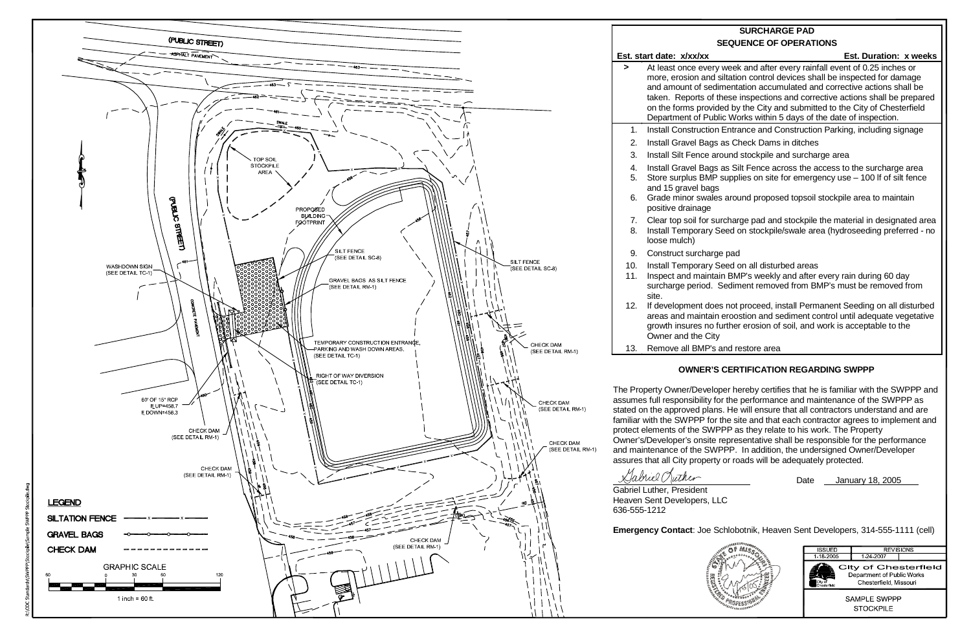